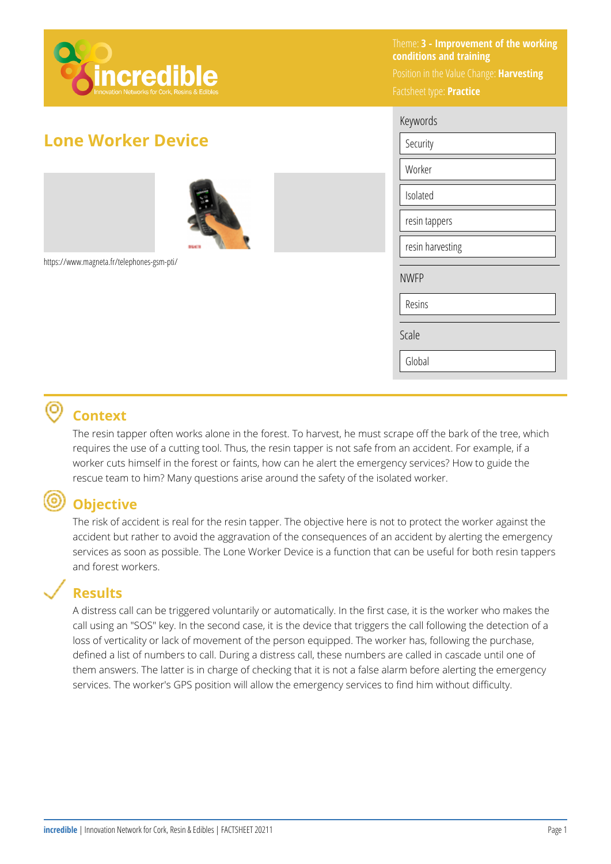

# **Lone Worker Device**





https://www.magneta.fr/telephones-gsm-pti/

Theme: **3 - Improvement of the working conditions and training**  Position in the Value Change: **Harvesting**  Factsheet type: **Practice** 

| Keywords         |
|------------------|
| Security         |
| Worker           |
| Isolated         |
| resin tappers    |
| resin harvesting |
| <b>NWFP</b>      |
| Resins           |
| Scale            |
| Global           |

#### ൫ **Context**

The resin tapper often works alone in the forest. To harvest, he must scrape off the bark of the tree, which requires the use of a cutting tool. Thus, the resin tapper is not safe from an accident. For example, if a worker cuts himself in the forest or faints, how can he alert the emergency services? How to guide the rescue team to him? Many questions arise around the safety of the isolated worker.

## **Objective**

The risk of accident is real for the resin tapper. The objective here is not to protect the worker against the accident but rather to avoid the aggravation of the consequences of an accident by alerting the emergency services as soon as possible. The Lone Worker Device is a function that can be useful for both resin tappers and forest workers.

## **Results**

A distress call can be triggered voluntarily or automatically. In the first case, it is the worker who makes the call using an "SOS" key. In the second case, it is the device that triggers the call following the detection of a loss of verticality or lack of movement of the person equipped. The worker has, following the purchase, defined a list of numbers to call. During a distress call, these numbers are called in cascade until one of them answers. The latter is in charge of checking that it is not a false alarm before alerting the emergency services. The worker's GPS position will allow the emergency services to find him without difficulty.